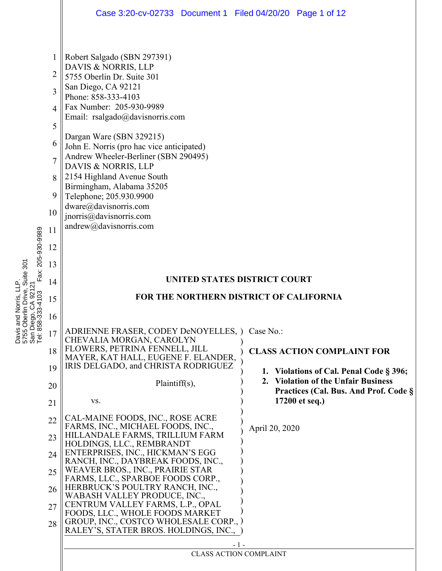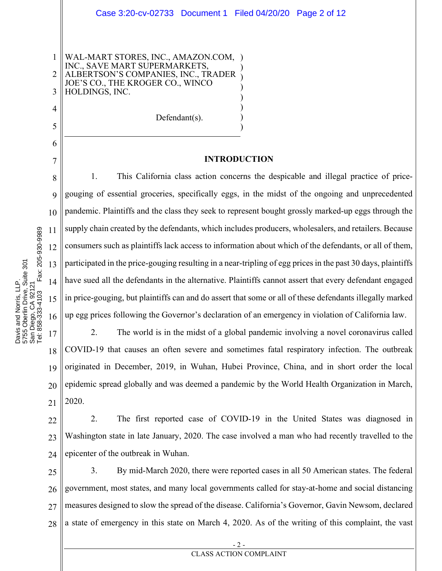WAL-MART STORES, INC., AMAZON.COM, INC., SAVE MART SUPERMARKETS, ALBERTSON'S COMPANIES, INC., TRADER JOE'S CO., THE KROGER CO., WINCO HOLDINGS, INC.

Defendant(s).

#### INTRODUCTION

 $\mathcal{L}$  $\overline{)}$  $\mathcal{L}$  $\mathcal{L}$  $\mathcal{L}$  $\mathcal{L}$  $\overline{)}$  $\mathcal{L}$ 

8 9 10 11 12 13 14 15 16 1. This California class action concerns the despicable and illegal practice of pricegouging of essential groceries, specifically eggs, in the midst of the ongoing and unprecedented pandemic. Plaintiffs and the class they seek to represent bought grossly marked-up eggs through the supply chain created by the defendants, which includes producers, wholesalers, and retailers. Because consumers such as plaintiffs lack access to information about which of the defendants, or all of them, participated in the price-gouging resulting in a near-tripling of egg prices in the past 30 days, plaintiffs have sued all the defendants in the alternative. Plaintiffs cannot assert that every defendant engaged in price-gouging, but plaintiffs can and do assert that some or all of these defendants illegally marked up egg prices following the Governor's declaration of an emergency in violation of California law.

17 18 19 20 21 2. The world is in the midst of a global pandemic involving a novel coronavirus called COVID-19 that causes an often severe and sometimes fatal respiratory infection. The outbreak originated in December, 2019, in Wuhan, Hubei Province, China, and in short order the local epidemic spread globally and was deemed a pandemic by the World Health Organization in March, 2020.

22 23 24 2. The first reported case of COVID-19 in the United States was diagnosed in Washington state in late January, 2020. The case involved a man who had recently travelled to the epicenter of the outbreak in Wuhan.

25 26 27 28 3. By mid-March 2020, there were reported cases in all 50 American states. The federal government, most states, and many local governments called for stay-at-home and social distancing measures designed to slow the spread of the disease. California's Governor, Gavin Newsom, declared a state of emergency in this state on March 4, 2020. As of the writing of this complaint, the vast

1

2

3

4

5

6

7

- 2 - CLASS ACTION COMPLAINT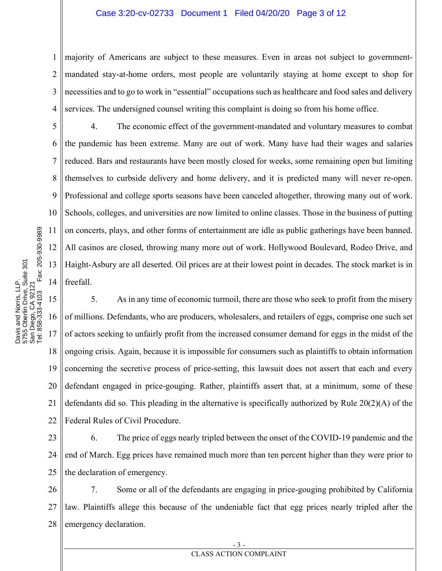#### Case 3:20-cv-02733 Document 1 Filed 04/20/20 Page 3 of 12

1 2 3 4 majority of Americans are subject to these measures. Even in areas not subject to governmentmandated stay-at-home orders, most people are voluntarily staying at home except to shop for necessities and to go to work in "essential" occupations such as healthcare and food sales and delivery services. The undersigned counsel writing this complaint is doing so from his home office.

 4. The economic effect of the government-mandated and voluntary measures to combat the pandemic has been extreme. Many are out of work. Many have had their wages and salaries reduced. Bars and restaurants have been mostly closed for weeks, some remaining open but limiting themselves to curbside delivery and home delivery, and it is predicted many will never re-open. Professional and college sports seasons have been canceled altogether, throwing many out of work. Schools, colleges, and universities are now limited to online classes. Those in the business of putting on concerts, plays, and other forms of entertainment are idle as public gatherings have been banned. All casinos are closed, throwing many more out of work. Hollywood Boulevard, Rodeo Drive, and Haight-Asbury are all deserted. Oil prices are at their lowest point in decades. The stock market is in freefall.

15 16 17 18 19 20 21 22 5. As in any time of economic turmoil, there are those who seek to profit from the misery of millions. Defendants, who are producers, wholesalers, and retailers of eggs, comprise one such set of actors seeking to unfairly profit from the increased consumer demand for eggs in the midst of the ongoing crisis. Again, because it is impossible for consumers such as plaintiffs to obtain information concerning the secretive process of price-setting, this lawsuit does not assert that each and every defendant engaged in price-gouging. Rather, plaintiffs assert that, at a minimum, some of these defendants did so. This pleading in the alternative is specifically authorized by Rule 20(2)(A) of the Federal Rules of Civil Procedure.

23 24 25 6. The price of eggs nearly tripled between the onset of the COVID-19 pandemic and the end of March. Egg prices have remained much more than ten percent higher than they were prior to the declaration of emergency.

26 27 28 7. Some or all of the defendants are engaging in price-gouging prohibited by California law. Plaintiffs allege this because of the undeniable fact that egg prices nearly tripled after the emergency declaration.

5

6

7

8

9

10

11

12

13

14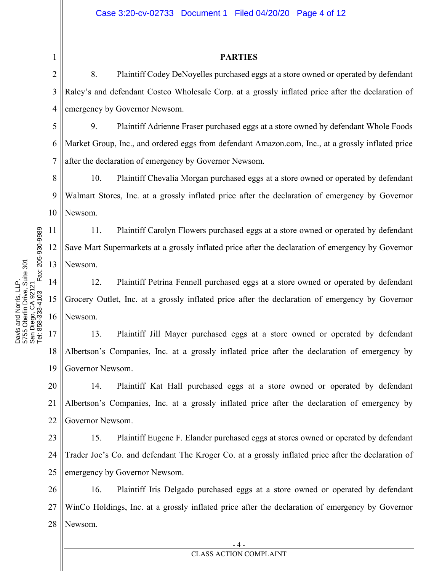#### Case 3:20-cv-02733 Document 1 Filed 04/20/20 Page 4 of 12

#### PARTIES

2 3 4 8. Plaintiff Codey DeNoyelles purchased eggs at a store owned or operated by defendant Raley's and defendant Costco Wholesale Corp. at a grossly inflated price after the declaration of emergency by Governor Newsom.

5 6 7 9. Plaintiff Adrienne Fraser purchased eggs at a store owned by defendant Whole Foods Market Group, Inc., and ordered eggs from defendant Amazon.com, Inc., at a grossly inflated price after the declaration of emergency by Governor Newsom.

8 9 10 10. Plaintiff Chevalia Morgan purchased eggs at a store owned or operated by defendant Walmart Stores, Inc. at a grossly inflated price after the declaration of emergency by Governor Newsom.

12 11. Plaintiff Carolyn Flowers purchased eggs at a store owned or operated by defendant Save Mart Supermarkets at a grossly inflated price after the declaration of emergency by Governor Newsom.

14 15 16 12. Plaintiff Petrina Fennell purchased eggs at a store owned or operated by defendant Grocery Outlet, Inc. at a grossly inflated price after the declaration of emergency by Governor Newsom.

17 18 19 13. Plaintiff Jill Mayer purchased eggs at a store owned or operated by defendant Albertson's Companies, Inc. at a grossly inflated price after the declaration of emergency by Governor Newsom.

20 21 22 14. Plaintiff Kat Hall purchased eggs at a store owned or operated by defendant Albertson's Companies, Inc. at a grossly inflated price after the declaration of emergency by Governor Newsom.

23 24 25 15. Plaintiff Eugene F. Elander purchased eggs at stores owned or operated by defendant Trader Joe's Co. and defendant The Kroger Co. at a grossly inflated price after the declaration of emergency by Governor Newsom.

26 27 28 16. Plaintiff Iris Delgado purchased eggs at a store owned or operated by defendant WinCo Holdings, Inc. at a grossly inflated price after the declaration of emergency by Governor Newsom.

11

1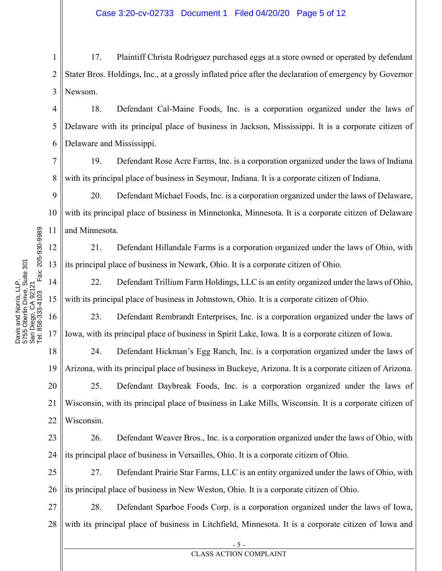1 2 3 17. Plaintiff Christa Rodriguez purchased eggs at a store owned or operated by defendant Stater Bros. Holdings, Inc., at a grossly inflated price after the declaration of emergency by Governor Newsom.

Case 3:20-cv-02733 Document 1 Filed 04/20/20 Page 5 of 12

4 5 6 18. Defendant Cal-Maine Foods, Inc. is a corporation organized under the laws of Delaware with its principal place of business in Jackson, Mississippi. It is a corporate citizen of Delaware and Mississippi.

7 8 19. Defendant Rose Acre Farms, Inc. is a corporation organized under the laws of Indiana with its principal place of business in Seymour, Indiana. It is a corporate citizen of Indiana.

9 10 11 20. Defendant Michael Foods, Inc. is a corporation organized under the laws of Delaware, with its principal place of business in Minnetonka, Minnesota. It is a corporate citizen of Delaware and Minnesota.

12 13 21. Defendant Hillandale Farms is a corporation organized under the laws of Ohio, with its principal place of business in Newark, Ohio. It is a corporate citizen of Ohio.

14 15 22. Defendant Trillium Farm Holdings, LLC is an entity organized under the laws of Ohio, with its principal place of business in Johnstown, Ohio. It is a corporate citizen of Ohio.

16 23. Defendant Rembrandt Enterprises, Inc. is a corporation organized under the laws of Iowa, with its principal place of business in Spirit Lake, Iowa. It is a corporate citizen of Iowa.

18 19 24. Defendant Hickman's Egg Ranch, Inc. is a corporation organized under the laws of Arizona, with its principal place of business in Buckeye, Arizona. It is a corporate citizen of Arizona.

20 21 22 25. Defendant Daybreak Foods, Inc. is a corporation organized under the laws of Wisconsin, with its principal place of business in Lake Mills, Wisconsin. It is a corporate citizen of Wisconsin.

23 24 26. Defendant Weaver Bros., Inc. is a corporation organized under the laws of Ohio, with its principal place of business in Versailles, Ohio. It is a corporate citizen of Ohio.

25 26 27. Defendant Prairie Star Farms, LLC is an entity organized under the laws of Ohio, with its principal place of business in New Weston, Ohio. It is a corporate citizen of Ohio.

27 28 28. Defendant Sparboe Foods Corp. is a corporation organized under the laws of Iowa, with its principal place of business in Litchfield, Minnesota. It is a corporate citizen of Iowa and

17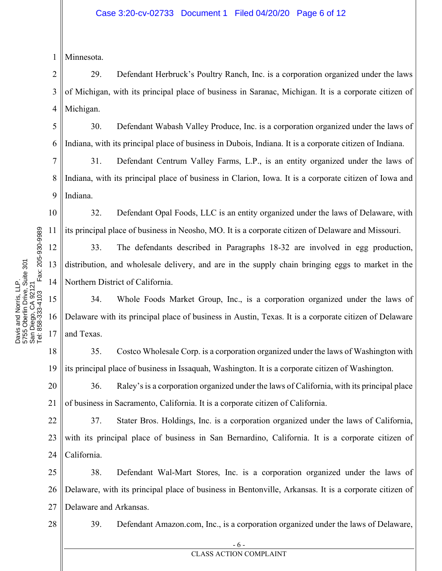1 Minnesota.

2 3 4 29. Defendant Herbruck's Poultry Ranch, Inc. is a corporation organized under the laws of Michigan, with its principal place of business in Saranac, Michigan. It is a corporate citizen of Michigan.

5 6 30. Defendant Wabash Valley Produce, Inc. is a corporation organized under the laws of Indiana, with its principal place of business in Dubois, Indiana. It is a corporate citizen of Indiana.

7 8 9 31. Defendant Centrum Valley Farms, L.P., is an entity organized under the laws of Indiana, with its principal place of business in Clarion, Iowa. It is a corporate citizen of Iowa and Indiana.

10 11 32. Defendant Opal Foods, LLC is an entity organized under the laws of Delaware, with its principal place of business in Neosho, MO. It is a corporate citizen of Delaware and Missouri.

33. The defendants described in Paragraphs 18-32 are involved in egg production, distribution, and wholesale delivery, and are in the supply chain bringing eggs to market in the Northern District of California.

15 16 17 34. Whole Foods Market Group, Inc., is a corporation organized under the laws of Delaware with its principal place of business in Austin, Texas. It is a corporate citizen of Delaware and Texas.

18 19 35. Costco Wholesale Corp. is a corporation organized under the laws of Washington with its principal place of business in Issaquah, Washington. It is a corporate citizen of Washington.

20 21 36. Raley's is a corporation organized under the laws of California, with its principal place of business in Sacramento, California. It is a corporate citizen of California.

22 23 24 37. Stater Bros. Holdings, Inc. is a corporation organized under the laws of California, with its principal place of business in San Bernardino, California. It is a corporate citizen of California.

25 26 27 38. Defendant Wal-Mart Stores, Inc. is a corporation organized under the laws of Delaware, with its principal place of business in Bentonville, Arkansas. It is a corporate citizen of Delaware and Arkansas.

28

39. Defendant Amazon.com, Inc., is a corporation organized under the laws of Delaware,

12

- 6 - CLASS ACTION COMPLAINT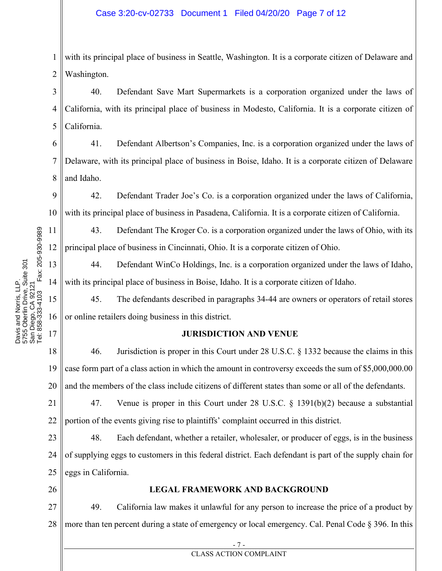1 2 with its principal place of business in Seattle, Washington. It is a corporate citizen of Delaware and Washington.

3 4 5 40. Defendant Save Mart Supermarkets is a corporation organized under the laws of California, with its principal place of business in Modesto, California. It is a corporate citizen of California.

6 7 8 41. Defendant Albertson's Companies, Inc. is a corporation organized under the laws of Delaware, with its principal place of business in Boise, Idaho. It is a corporate citizen of Delaware and Idaho.

9 10 42. Defendant Trader Joe's Co. is a corporation organized under the laws of California, with its principal place of business in Pasadena, California. It is a corporate citizen of California.

43. Defendant The Kroger Co. is a corporation organized under the laws of Ohio, with its principal place of business in Cincinnati, Ohio. It is a corporate citizen of Ohio.

44. Defendant WinCo Holdings, Inc. is a corporation organized under the laws of Idaho, with its principal place of business in Boise, Idaho. It is a corporate citizen of Idaho.

15 16 45. The defendants described in paragraphs 34-44 are owners or operators of retail stores or online retailers doing business in this district.

# JURISDICTION AND VENUE

18 19 20 46. Jurisdiction is proper in this Court under 28 U.S.C. § 1332 because the claims in this case form part of a class action in which the amount in controversy exceeds the sum of \$5,000,000.00 and the members of the class include citizens of different states than some or all of the defendants.

21 22 47. Venue is proper in this Court under 28 U.S.C. § 1391(b)(2) because a substantial portion of the events giving rise to plaintiffs' complaint occurred in this district.

23 24 25 48. Each defendant, whether a retailer, wholesaler, or producer of eggs, is in the business of supplying eggs to customers in this federal district. Each defendant is part of the supply chain for eggs in California.

26

# LEGAL FRAMEWORK AND BACKGROUND

27 28 49. California law makes it unlawful for any person to increase the price of a product by more than ten percent during a state of emergency or local emergency. Cal. Penal Code § 396. In this

11

- 7 -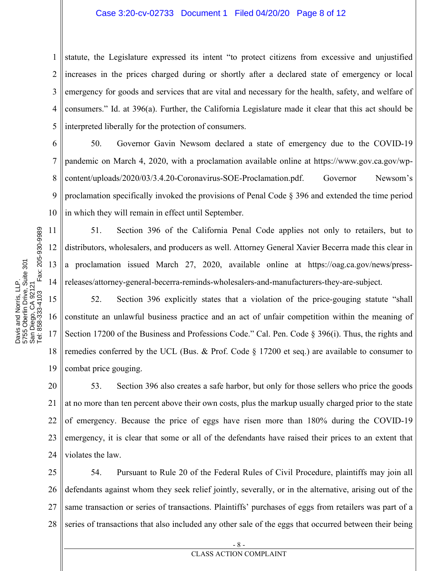#### Case 3:20-cv-02733 Document 1 Filed 04/20/20 Page 8 of 12

1 2 3 4 5 statute, the Legislature expressed its intent "to protect citizens from excessive and unjustified increases in the prices charged during or shortly after a declared state of emergency or local emergency for goods and services that are vital and necessary for the health, safety, and welfare of consumers." Id. at 396(a). Further, the California Legislature made it clear that this act should be interpreted liberally for the protection of consumers.

6 7 8 9 10 50. Governor Gavin Newsom declared a state of emergency due to the COVID-19 pandemic on March 4, 2020, with a proclamation available online at https://www.gov.ca.gov/wpcontent/uploads/2020/03/3.4.20-Coronavirus-SOE-Proclamation.pdf. Governor Newsom's proclamation specifically invoked the provisions of Penal Code § 396 and extended the time period in which they will remain in effect until September.

51. Section 396 of the California Penal Code applies not only to retailers, but to distributors, wholesalers, and producers as well. Attorney General Xavier Becerra made this clear in a proclamation issued March 27, 2020, available online at https://oag.ca.gov/news/pressreleases/attorney-general-becerra-reminds-wholesalers-and-manufacturers-they-are-subject.

15 16 17 18 19 52. Section 396 explicitly states that a violation of the price-gouging statute "shall constitute an unlawful business practice and an act of unfair competition within the meaning of Section 17200 of the Business and Professions Code." Cal. Pen. Code § 396(i). Thus, the rights and remedies conferred by the UCL (Bus. & Prof. Code  $\S$  17200 et seq.) are available to consumer to combat price gouging.

20 21 22 23 24 53. Section 396 also creates a safe harbor, but only for those sellers who price the goods at no more than ten percent above their own costs, plus the markup usually charged prior to the state of emergency. Because the price of eggs have risen more than 180% during the COVID-19 emergency, it is clear that some or all of the defendants have raised their prices to an extent that violates the law.

25 26 27 28 54. Pursuant to Rule 20 of the Federal Rules of Civil Procedure, plaintiffs may join all defendants against whom they seek relief jointly, severally, or in the alternative, arising out of the same transaction or series of transactions. Plaintiffs' purchases of eggs from retailers was part of a series of transactions that also included any other sale of the eggs that occurred between their being

11

- 8 - CLASS ACTION COMPLAINT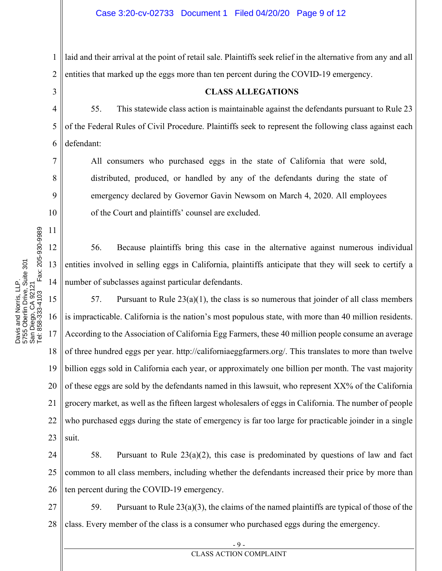1 2 laid and their arrival at the point of retail sale. Plaintiffs seek relief in the alternative from any and all entities that marked up the eggs more than ten percent during the COVID-19 emergency.

3

7

8

9

10

11

## CLASS ALLEGATIONS

4 5 6 55. This statewide class action is maintainable against the defendants pursuant to Rule 23 of the Federal Rules of Civil Procedure. Plaintiffs seek to represent the following class against each defendant:

All consumers who purchased eggs in the state of California that were sold, distributed, produced, or handled by any of the defendants during the state of emergency declared by Governor Gavin Newsom on March 4, 2020. All employees of the Court and plaintiffs' counsel are excluded.

 56. Because plaintiffs bring this case in the alternative against numerous individual entities involved in selling eggs in California, plaintiffs anticipate that they will seek to certify a number of subclasses against particular defendants.

15 16 17 18 19 20 21 22 23 57. Pursuant to Rule  $23(a)(1)$ , the class is so numerous that joinder of all class members is impracticable. California is the nation's most populous state, with more than 40 million residents. According to the Association of California Egg Farmers, these 40 million people consume an average of three hundred eggs per year. http://californiaeggfarmers.org/. This translates to more than twelve billion eggs sold in California each year, or approximately one billion per month. The vast majority of these eggs are sold by the defendants named in this lawsuit, who represent XX% of the California grocery market, as well as the fifteen largest wholesalers of eggs in California. The number of people who purchased eggs during the state of emergency is far too large for practicable joinder in a single suit.

24 25 26 58. Pursuant to Rule 23(a)(2), this case is predominated by questions of law and fact common to all class members, including whether the defendants increased their price by more than ten percent during the COVID-19 emergency.

27 28 59. Pursuant to Rule  $23(a)(3)$ , the claims of the named plaintiffs are typical of those of the class. Every member of the class is a consumer who purchased eggs during the emergency.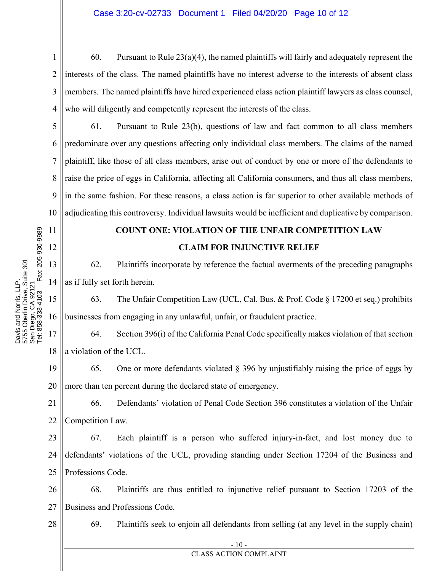1 2 3 4 60. Pursuant to Rule  $23(a)(4)$ , the named plaintiffs will fairly and adequately represent the interests of the class. The named plaintiffs have no interest adverse to the interests of absent class members. The named plaintiffs have hired experienced class action plaintiff lawyers as class counsel, who will diligently and competently represent the interests of the class.

5 6 7 8 9 10 61. Pursuant to Rule 23(b), questions of law and fact common to all class members predominate over any questions affecting only individual class members. The claims of the named plaintiff, like those of all class members, arise out of conduct by one or more of the defendants to raise the price of eggs in California, affecting all California consumers, and thus all class members, in the same fashion. For these reasons, a class action is far superior to other available methods of adjudicating this controversy. Individual lawsuits would be inefficient and duplicative by comparison.

# COUNT ONE: VIOLATION OF THE UNFAIR COMPETITION LAW CLAIM FOR INJUNCTIVE RELIEF

13 14 62. Plaintiffs incorporate by reference the factual averments of the preceding paragraphs as if fully set forth herein.

15 16 63. The Unfair Competition Law (UCL, Cal. Bus. & Prof. Code § 17200 et seq.) prohibits businesses from engaging in any unlawful, unfair, or fraudulent practice.

17 18 64. Section 396(i) of the California Penal Code specifically makes violation of that section a violation of the UCL.

19 20 65. One or more defendants violated § 396 by unjustifiably raising the price of eggs by more than ten percent during the declared state of emergency.

21 22 66. Defendants' violation of Penal Code Section 396 constitutes a violation of the Unfair Competition Law.

23 24 25 67. Each plaintiff is a person who suffered injury-in-fact, and lost money due to defendants' violations of the UCL, providing standing under Section 17204 of the Business and Professions Code.

26 27 68. Plaintiffs are thus entitled to injunctive relief pursuant to Section 17203 of the Business and Professions Code.

28

11

12

Tel: 858-333-4103 Fax: 205-930-9989

Tel: 858-333-4103

Fax: 205-930-9989

Davis and Norris, LLP. 5755 Oberlin Drive, Suite 301 San Diego, CA 92121

Davis and Norris, LLP.<br>5755 Oberlin Drive, Suite 301<br>San Diego, CA 92121

69. Plaintiffs seek to enjoin all defendants from selling (at any level in the supply chain)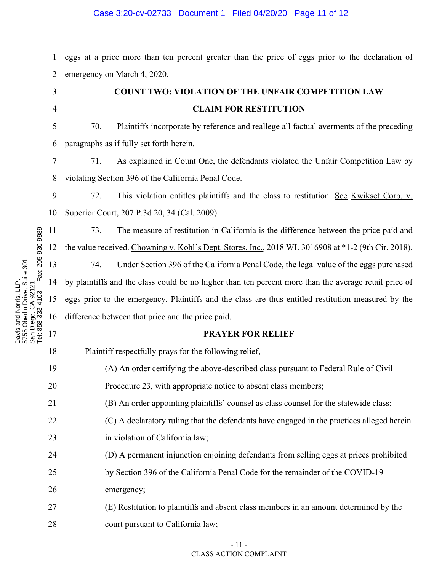#### Case 3:20-cv-02733 Document 1 Filed 04/20/20 Page 11 of 12

1 2 eggs at a price more than ten percent greater than the price of eggs prior to the declaration of emergency on March 4, 2020.

> COUNT TWO: VIOLATION OF THE UNFAIR COMPETITION LAW CLAIM FOR RESTITUTION

5 6 70. Plaintiffs incorporate by reference and reallege all factual averments of the preceding paragraphs as if fully set forth herein.

7 8 71. As explained in Count One, the defendants violated the Unfair Competition Law by violating Section 396 of the California Penal Code.

9 10 72. This violation entitles plaintiffs and the class to restitution. See Kwikset Corp. v. Superior Court, 207 P.3d 20, 34 (Cal. 2009).

73. The measure of restitution in California is the difference between the price paid and the value received. Chowning v. Kohl's Dept. Stores, Inc., 2018 WL 3016908 at \*1-2 (9th Cir. 2018).

13 14 15 16 74. Under Section 396 of the California Penal Code, the legal value of the eggs purchased by plaintiffs and the class could be no higher than ten percent more than the average retail price of eggs prior to the emergency. Plaintiffs and the class are thus entitled restitution measured by the difference between that price and the price paid.

## PRAYER FOR RELIEF

Plaintiff respectfully prays for the following relief,

(A) An order certifying the above-described class pursuant to Federal Rule of Civil Procedure 23, with appropriate notice to absent class members;

(B) An order appointing plaintiffs' counsel as class counsel for the statewide class;

(C) A declaratory ruling that the defendants have engaged in the practices alleged herein in violation of California law;

(D) A permanent injunction enjoining defendants from selling eggs at prices prohibited by Section 396 of the California Penal Code for the remainder of the COVID-19

emergency;

27 28 (E) Restitution to plaintiffs and absent class members in an amount determined by the court pursuant to California law;

## CLASS ACTION COMPLAINT

Fax: 205-930-9989 Tel: 858-333-4103 Fax: 205-930-9989 Davis and Norris, LLP.<br>5755 Oberlin Drive, Suite 301<br>San Diego, CA 92121 5755 Oberlin Drive, Suite 301 Davis and Norris, LLP. San Diego, CA 92121 rel: 858-333-4103

3

4

11

12

17

18

19

20

21

22

23

24

25

26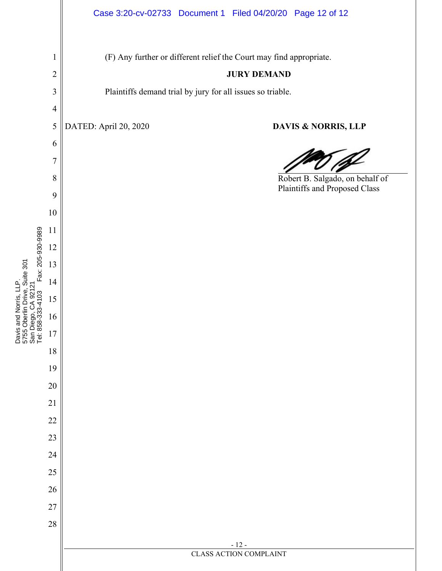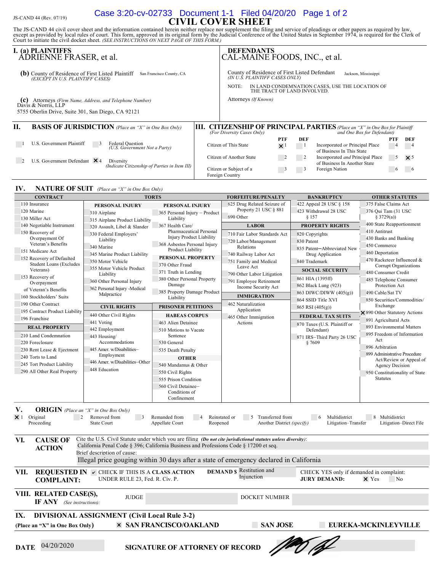## $J_S$ -CAND 44 (Rev. 07/19) CUCC CILE OF CIVIL COVER SHEET Case 3:20-cv-02733 Document 1-1 Filed 04/20/20 Page 1 of 2

The JS-CAND 44 civil cover sheet and the information contained herein neither replace nor supplement the filing and service of pleadings or other papers as required by law, except as provided by local rules of court. This

|                                                                                                         | I. (a) PLAINTIFFS<br>ADRIENNE FRASER, et al.                                                                                      |  | <b>DEFENDANTS</b><br>CAL-MAINE FOODS, INC., et al.                                                                                                                                                 |  |                |                |                                                                                                              |            |               |  |
|---------------------------------------------------------------------------------------------------------|-----------------------------------------------------------------------------------------------------------------------------------|--|----------------------------------------------------------------------------------------------------------------------------------------------------------------------------------------------------|--|----------------|----------------|--------------------------------------------------------------------------------------------------------------|------------|---------------|--|
|                                                                                                         | (b) County of Residence of First Listed Plaintiff<br>San Francisco County, CA<br>(EXCEPT IN U.S. PLAINTIFF CASES)                 |  | County of Residence of First Listed Defendant<br>Jackson, Mississippi<br>(IN U.S. PLAINTIFF CASES ONLY)<br>IN LAND CONDEMNATION CASES, USE THE LOCATION OF<br>NOTE:<br>THE TRACT OF LAND INVOLVED. |  |                |                |                                                                                                              |            |               |  |
| (C)                                                                                                     | Attorneys (Firm Name, Address, and Telephone Number)<br>Davis & Norris, LLP<br>5755 Oberlin Drive, Suite 301, San Diego, CA 92121 |  | Attorneys (If Known)                                                                                                                                                                               |  |                |                |                                                                                                              |            |               |  |
| Н.<br><b>BASIS OF JURISDICTION</b> (Place an "X" in One Box Only)<br>III.<br>(For Diversity Cases Only) |                                                                                                                                   |  |                                                                                                                                                                                                    |  |                |                | <b>CITIZENSHIP OF PRINCIPAL PARTIES</b> (Place an "X" in One Box for Plaintiff<br>and One Box for Defendant) |            |               |  |
|                                                                                                         |                                                                                                                                   |  |                                                                                                                                                                                                    |  | <b>PTF</b>     | DEF            |                                                                                                              | <b>PTF</b> | DEF           |  |
|                                                                                                         | U.S. Government Plaintiff<br>Federal Question<br>(U.S. Government Not a Party)                                                    |  | Citizen of This State                                                                                                                                                                              |  | $\times$ 1     | $\blacksquare$ | Incorporated or Principal Place<br>of Business In This State                                                 | 4          | $\frac{4}{1}$ |  |
|                                                                                                         | U.S. Government Defendant $\times$ 4<br>Diversity<br>(Indicate Citizenship of Parties in Item III)                                |  | Citizen of Another State                                                                                                                                                                           |  | $\overline{2}$ |                | Incorporated and Principal Place<br>of Business In Another State                                             | 5          | $\times$ 5    |  |
|                                                                                                         |                                                                                                                                   |  | Citizen or Subject of a<br>Foreign Country                                                                                                                                                         |  | $\mathfrak{p}$ | 3              | Foreign Nation                                                                                               | $\sigma$   |               |  |

TORTS FORFEITURE/PENALTY BANKRUPTCY OTHER STATUTES



| 110 Insurance                                                                                                                                                                                                                                                                                                                                                               | PERSONAL INJURY                                                                                                                                          | PERSONAL INJURY                                                                                                 | 625 Drug Related Seizure of                                                                                                                  | 422 Appeal 28 USC § 158                                                                                 | 375 False Claims Act                                                                                                                                                  |  |  |  |  |  |  |  |  |
|-----------------------------------------------------------------------------------------------------------------------------------------------------------------------------------------------------------------------------------------------------------------------------------------------------------------------------------------------------------------------------|----------------------------------------------------------------------------------------------------------------------------------------------------------|-----------------------------------------------------------------------------------------------------------------|----------------------------------------------------------------------------------------------------------------------------------------------|---------------------------------------------------------------------------------------------------------|-----------------------------------------------------------------------------------------------------------------------------------------------------------------------|--|--|--|--|--|--|--|--|
| 120 Marine                                                                                                                                                                                                                                                                                                                                                                  | 310 Airplane                                                                                                                                             | 365 Personal Injury - Product                                                                                   | Property 21 USC § 881                                                                                                                        | 423 Withdrawal 28 USC                                                                                   | 376 Qui Tam (31 USC                                                                                                                                                   |  |  |  |  |  |  |  |  |
| 130 Miller Act                                                                                                                                                                                                                                                                                                                                                              | 315 Airplane Product Liability                                                                                                                           | Liability                                                                                                       | 690 Other                                                                                                                                    | § 157                                                                                                   | § 3729(a))                                                                                                                                                            |  |  |  |  |  |  |  |  |
| 140 Negotiable Instrument                                                                                                                                                                                                                                                                                                                                                   | 320 Assault, Libel & Slander                                                                                                                             | 367 Health Care/                                                                                                | <b>LABOR</b>                                                                                                                                 | <b>PROPERTY RIGHTS</b>                                                                                  | 400 State Reapportionment                                                                                                                                             |  |  |  |  |  |  |  |  |
| 150 Recovery of<br>Overpayment Of<br>Veteran's Benefits<br>151 Medicare Act                                                                                                                                                                                                                                                                                                 | 330 Federal Employers'<br>Liability<br>340 Marine                                                                                                        | Pharmaceutical Personal<br><b>Injury Product Liability</b><br>368 Asbestos Personal Injury<br>Product Liability | 710 Fair Labor Standards Act<br>720 Labor/Management<br>Relations                                                                            | 820 Copyrights<br>830 Patent<br>835 Patent-Abbreviated New                                              | 410 Antitrust<br>430 Banks and Banking<br>450 Commerce                                                                                                                |  |  |  |  |  |  |  |  |
| 152 Recovery of Defaulted<br><b>Student Loans (Excludes</b><br>Veterans)<br>153 Recovery of<br>Overpayment<br>of Veteran's Benefits                                                                                                                                                                                                                                         | 345 Marine Product Liability<br>350 Motor Vehicle<br>355 Motor Vehicle Product<br>Liability<br>360 Other Personal Injury<br>362 Personal Injury -Medical | PERSONAL PROPERTY<br>370 Other Fraud<br>371 Truth in Lending<br>380 Other Personal Property<br>Damage           | 740 Railway Labor Act<br>751 Family and Medical<br>Leave Act<br>790 Other Labor Litigation<br>791 Employee Retirement<br>Income Security Act | Drug Application<br>840 Trademark<br><b>SOCIAL SECURITY</b><br>861 HIA (1395ff)<br>862 Black Lung (923) | 460 Deportation<br>470 Racketeer Influenced &<br>Corrupt Organizations<br>480 Consumer Credit<br>485 Telephone Consumer<br>Protection Act                             |  |  |  |  |  |  |  |  |
| 160 Stockholders' Suits                                                                                                                                                                                                                                                                                                                                                     | Malpractice                                                                                                                                              | 385 Property Damage Product<br>Liability                                                                        | <b>IMMIGRATION</b>                                                                                                                           | 863 DIWC/DIWW (405(g))                                                                                  | 490 Cable/Sat TV                                                                                                                                                      |  |  |  |  |  |  |  |  |
| 190 Other Contract                                                                                                                                                                                                                                                                                                                                                          | <b>CIVIL RIGHTS</b>                                                                                                                                      | PRISONER PETITIONS                                                                                              | 462 Naturalization                                                                                                                           | 864 SSID Title XVI<br>865 RSI (405(g))                                                                  | 850 Securities/Commodities/<br>Exchange                                                                                                                               |  |  |  |  |  |  |  |  |
| 195 Contract Product Liability                                                                                                                                                                                                                                                                                                                                              | 440 Other Civil Rights                                                                                                                                   | <b>HABEAS CORPUS</b>                                                                                            | Application<br>465 Other Immigration                                                                                                         | <b>FEDERAL TAX SUITS</b>                                                                                | × 890 Other Statutory Actions                                                                                                                                         |  |  |  |  |  |  |  |  |
| 196 Franchise<br><b>REAL PROPERTY</b><br>210 Land Condemnation<br>220 Foreclosure<br>230 Rent Lease & Ejectment<br>240 Torts to Land                                                                                                                                                                                                                                        | 441 Voting<br>442 Employment<br>443 Housing/<br>Accommodations<br>445 Amer. w/Disabilities-<br>Employment<br>446 Amer. w/Disabilities-Other              | 463 Alien Detainee<br>510 Motions to Vacate<br>Sentence<br>530 General<br>535 Death Penalty<br><b>OTHER</b>     | Actions                                                                                                                                      | 870 Taxes (U.S. Plaintiff or<br>Defendant)<br>871 IRS-Third Party 26 USC<br>§7609                       | 891 Agricultural Acts<br>893 Environmental Matters<br>895 Freedom of Information<br>Act<br>896 Arbitration<br>899 Administrative Procedure<br>Act/Review or Appeal of |  |  |  |  |  |  |  |  |
| 245 Tort Product Liability                                                                                                                                                                                                                                                                                                                                                  | 448 Education                                                                                                                                            | 540 Mandamus & Other                                                                                            |                                                                                                                                              |                                                                                                         | Agency Decision                                                                                                                                                       |  |  |  |  |  |  |  |  |
| 290 All Other Real Property                                                                                                                                                                                                                                                                                                                                                 |                                                                                                                                                          | 550 Civil Rights<br>555 Prison Condition<br>560 Civil Detainee-<br>Conditions of<br>Confinement                 |                                                                                                                                              |                                                                                                         | 950 Constitutionality of State<br><b>Statutes</b>                                                                                                                     |  |  |  |  |  |  |  |  |
| V.<br><b>ORIGIN</b> (Place an "X" in One Box Only)<br>$\times$ 1<br>Original<br>2<br>Removed from<br>8 Multidistrict<br>$\overline{\phantom{a}}$<br>Remanded from<br>Reinstated or<br>5 Transferred from<br>Multidistrict<br>-6<br>Proceeding<br>State Court<br>Appellate Court<br>Reopened<br>Another District (specify)<br>Litigation-Transfer<br>Litigation-Direct File  |                                                                                                                                                          |                                                                                                                 |                                                                                                                                              |                                                                                                         |                                                                                                                                                                       |  |  |  |  |  |  |  |  |
| Cite the U.S. Civil Statute under which you are filing (Do not cite jurisdictional statutes unless diversity):<br>VI.<br><b>CAUSE OF</b><br>California Penal Code § 396; California Business and Professions Code § 17200 et seq.<br><b>ACTION</b><br>Brief description of cause:<br>Illegal price gouging within 30 days after a state of emergency declared in California |                                                                                                                                                          |                                                                                                                 |                                                                                                                                              |                                                                                                         |                                                                                                                                                                       |  |  |  |  |  |  |  |  |
| VII.<br><b>COMPLAINT:</b>                                                                                                                                                                                                                                                                                                                                                   | <b>REQUESTED IN V CHECK IF THIS IS A CLASS ACTION</b><br>UNDER RULE 23, Fed. R. Civ. P.                                                                  |                                                                                                                 | <b>DEMAND S</b> Restitution and<br>Injunction                                                                                                | CHECK YES only if demanded in complaint:<br><b>JURY DEMAND:</b>                                         | X Yes<br>N <sub>0</sub>                                                                                                                                               |  |  |  |  |  |  |  |  |
| VIII. RELATED CASE(S),<br><b>IF ANY</b> (See instructions):                                                                                                                                                                                                                                                                                                                 | <b>JUDGE</b>                                                                                                                                             |                                                                                                                 | <b>DOCKET NUMBER</b>                                                                                                                         |                                                                                                         |                                                                                                                                                                       |  |  |  |  |  |  |  |  |
| IX.<br><b>DIVISIONAL ASSIGNMENT (Civil Local Rule 3-2)</b><br><b>SAN JOSE</b><br><b>× SAN FRANCISCO/OAKLAND</b><br>EUREKA-MCKINLEYVILLE<br>(Place an "X" in One Box Only)                                                                                                                                                                                                   |                                                                                                                                                          |                                                                                                                 |                                                                                                                                              |                                                                                                         |                                                                                                                                                                       |  |  |  |  |  |  |  |  |
| 04/20/2020<br><b>SIGNATURE OF ATTORNEY OF RECORD</b><br><b>DATE</b>                                                                                                                                                                                                                                                                                                         |                                                                                                                                                          |                                                                                                                 |                                                                                                                                              |                                                                                                         |                                                                                                                                                                       |  |  |  |  |  |  |  |  |